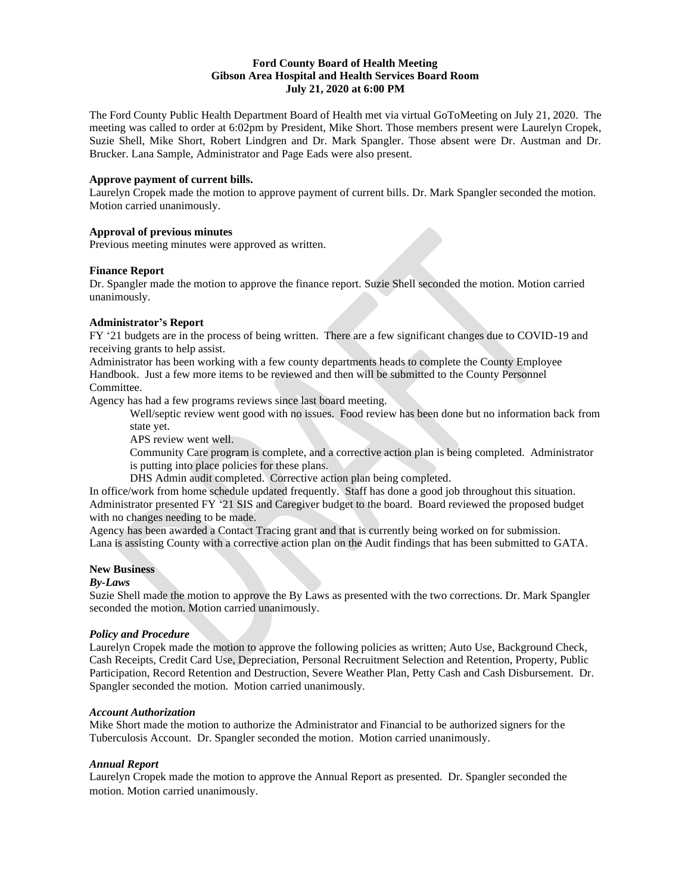### **Ford County Board of Health Meeting Gibson Area Hospital and Health Services Board Room July 21, 2020 at 6:00 PM**

The Ford County Public Health Department Board of Health met via virtual GoToMeeting on July 21, 2020. The meeting was called to order at 6:02pm by President, Mike Short. Those members present were Laurelyn Cropek, Suzie Shell, Mike Short, Robert Lindgren and Dr. Mark Spangler. Those absent were Dr. Austman and Dr. Brucker. Lana Sample, Administrator and Page Eads were also present.

## **Approve payment of current bills.**

Laurelyn Cropek made the motion to approve payment of current bills. Dr. Mark Spangler seconded the motion. Motion carried unanimously.

## **Approval of previous minutes**

Previous meeting minutes were approved as written.

## **Finance Report**

Dr. Spangler made the motion to approve the finance report. Suzie Shell seconded the motion. Motion carried unanimously.

## **Administrator's Report**

FY '21 budgets are in the process of being written. There are a few significant changes due to COVID-19 and receiving grants to help assist.

Administrator has been working with a few county departments heads to complete the County Employee Handbook. Just a few more items to be reviewed and then will be submitted to the County Personnel Committee.

Agency has had a few programs reviews since last board meeting.

Well/septic review went good with no issues. Food review has been done but no information back from state yet.

APS review went well.

Community Care program is complete, and a corrective action plan is being completed. Administrator is putting into place policies for these plans.

DHS Admin audit completed. Corrective action plan being completed.

In office/work from home schedule updated frequently. Staff has done a good job throughout this situation. Administrator presented FY '21 SIS and Caregiver budget to the board. Board reviewed the proposed budget with no changes needing to be made.

Agency has been awarded a Contact Tracing grant and that is currently being worked on for submission. Lana is assisting County with a corrective action plan on the Audit findings that has been submitted to GATA.

#### **New Business**

#### *By-Laws*

Suzie Shell made the motion to approve the By Laws as presented with the two corrections. Dr. Mark Spangler seconded the motion. Motion carried unanimously.

#### *Policy and Procedure*

Laurelyn Cropek made the motion to approve the following policies as written; Auto Use, Background Check, Cash Receipts, Credit Card Use, Depreciation, Personal Recruitment Selection and Retention, Property, Public Participation, Record Retention and Destruction, Severe Weather Plan, Petty Cash and Cash Disbursement. Dr. Spangler seconded the motion. Motion carried unanimously.

#### *Account Authorization*

Mike Short made the motion to authorize the Administrator and Financial to be authorized signers for the Tuberculosis Account. Dr. Spangler seconded the motion. Motion carried unanimously.

# *Annual Report*

Laurelyn Cropek made the motion to approve the Annual Report as presented. Dr. Spangler seconded the motion. Motion carried unanimously.